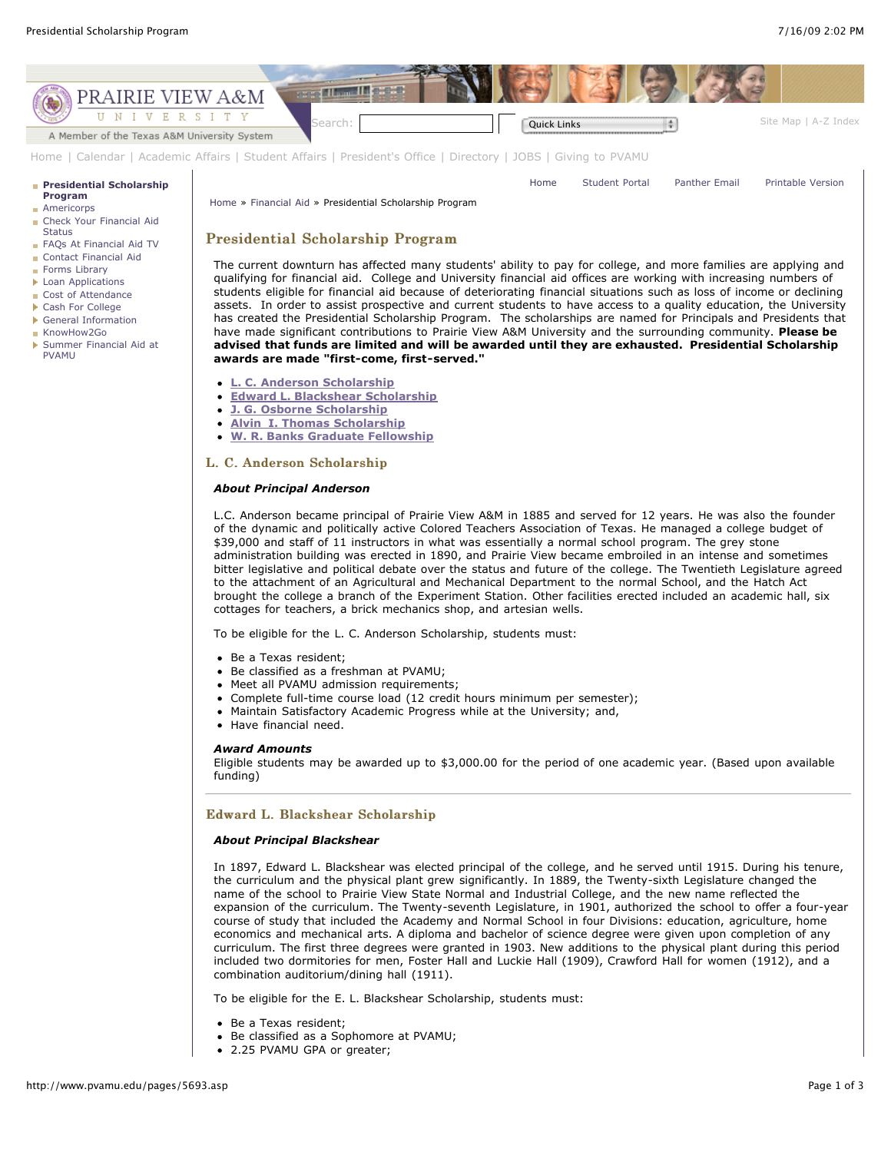

[Home](http://www.pvamu.edu/pages/1.asp) | [Calendar](http://www.pvamu.edu/pages/222.asp) | [Academic Affairs](http://www.pvamu.edu/pages/116.asp) | [Student Affairs](http://www.pvamu.edu/pages/1441.asp) | [President's Office](http://www.pvamu.edu/pages/117.asp) | [Directory](http://www.pvamu.edu/pages/225.asp) | [JOBS](http://www.pvamu.edu/pages/118.asp) | [Giving to PVAMU](http://www.pvamu.edu/giving)

#### **[Presidential Scholarship](http://www.pvamu.edu/pages/5693.asp)**

#### **Program [Americorps](http://www.pvamu.edu/pages/5604.asp)**

- **[Check Your Financial Aid](http://www.pvamu.edu/pages/5128.asp) Status**
- [FAQs At Financial Aid TV](http://www.pvamu.edu/pages/5206.asp)
- [Contact Financial Aid](http://www.pvamu.edu/pages/2122.asp)
- [Forms Library](http://www.pvamu.edu/pages/1950.asp)
- **[Loan Applications](http://www.pvamu.edu/pages/5138.asp)**
- [Cost of Attendance](http://www.pvamu.edu/pages/2167.asp)
- ▶ [Cash For College](http://www.pvamu.edu/pages/5137.asp)
- [General Information](http://www.pvamu.edu/pages/5136.asp) [KnowHow2Go](http://www.pvamu.edu/pages/5135.asp)
- [Summer Financial Aid at](http://www.pvamu.edu/pages/5578.asp) PVAMU

[Home](http://www.pvamu.edu/pages/1.asp) [Student Portal](http://panthertracks.pvamu.edu/) [Panther Email](http://www.pvamu.edu/pages/1740.asp) [Printable Version](http://www.pvamu.edu/print/5693.asp)

[Home](http://www.pvamu.edu/pages/1.asp) » [Financial Aid](http://www.pvamu.edu/pages/1630.asp) » Presidential Scholarship Program

# Presidential Scholarship Program

The current downturn has affected many students' ability to pay for college, and more families are applying and qualifying for financial aid. College and University financial aid offices are working with increasing numbers of students eligible for financial aid because of deteriorating financial situations such as loss of income or declining assets. In order to assist prospective and current students to have access to a quality education, the University has created the Presidential Scholarship Program. The scholarships are named for Principals and Presidents that have made significant contributions to Prairie View A&M University and the surrounding community. **Please be advised that funds are limited and will be awarded until they are exhausted. Presidential Scholarship awards are made "first-come, first-served."**

- **[L. C. Anderson Scholarship](http://www.pvamu.edu/pages/5693.asp#1)**
- **[Edward L. Blackshear Scholarship](http://www.pvamu.edu/pages/5693.asp#2)**
- **[J. G. Osborne Scholarship](http://www.pvamu.edu/pages/5693.asp#3)**
- **[Alvin I. Thomas Scholarship](http://www.pvamu.edu/pages/5693.asp#4)**
- **[W. R. Banks Graduate Fellowship](http://www.pvamu.edu/pages/5693.asp#5)**

### L. C. Anderson Scholarship

# *About Principal Anderson*

L.C. Anderson became principal of Prairie View A&M in 1885 and served for 12 years. He was also the founder of the dynamic and politically active Colored Teachers Association of Texas. He managed a college budget of \$39,000 and staff of 11 instructors in what was essentially a normal school program. The grey stone administration building was erected in 1890, and Prairie View became embroiled in an intense and sometimes bitter legislative and political debate over the status and future of the college. The Twentieth Legislature agreed to the attachment of an Agricultural and Mechanical Department to the normal School, and the Hatch Act brought the college a branch of the Experiment Station. Other facilities erected included an academic hall, six cottages for teachers, a brick mechanics shop, and artesian wells.

To be eligible for the L. C. Anderson Scholarship, students must:

- Be a Texas resident:
- Be classified as a freshman at PVAMU;
- Meet all PVAMU admission requirements;
- Complete full-time course load (12 credit hours minimum per semester);
- Maintain Satisfactory Academic Progress while at the University; and,
- Have financial need.

#### *Award Amounts*

Eligible students may be awarded up to \$3,000.00 for the period of one academic year. (Based upon available funding)

# Edward L. Blackshear Scholarship

### *About Principal Blackshear*

In 1897, Edward L. Blackshear was elected principal of the college, and he served until 1915. During his tenure, the curriculum and the physical plant grew significantly. In 1889, the Twenty-sixth Legislature changed the name of the school to Prairie View State Normal and Industrial College, and the new name reflected the expansion of the curriculum. The Twenty-seventh Legislature, in 1901, authorized the school to offer a four-year course of study that included the Academy and Normal School in four Divisions: education, agriculture, home economics and mechanical arts. A diploma and bachelor of science degree were given upon completion of any curriculum. The first three degrees were granted in 1903. New additions to the physical plant during this period included two dormitories for men, Foster Hall and Luckie Hall (1909), Crawford Hall for women (1912), and a combination auditorium/dining hall (1911).

To be eligible for the E. L. Blackshear Scholarship, students must:

- Be a Texas resident;
- Be classified as a Sophomore at PVAMU;
- 2.25 PVAMU GPA or greater;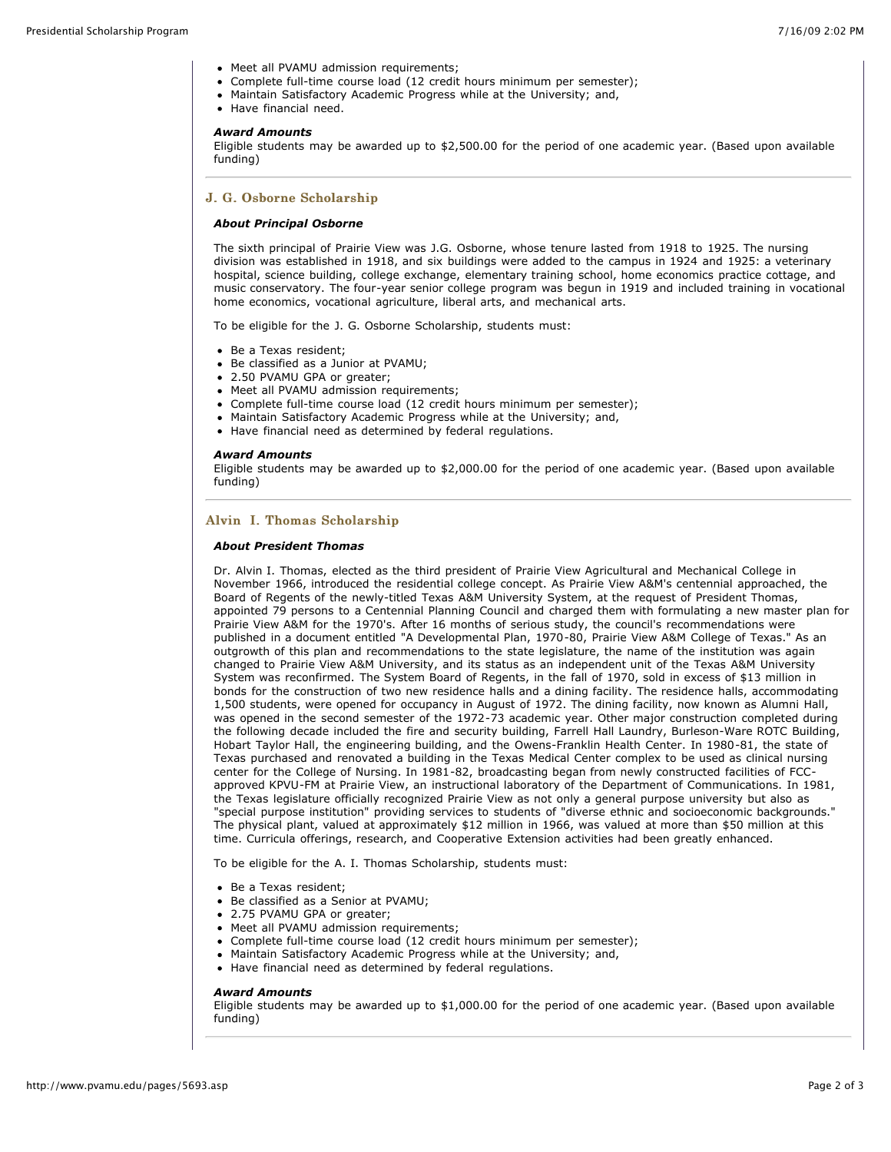- Meet all PVAMU admission requirements;
- Complete full-time course load (12 credit hours minimum per semester);
- Maintain Satisfactory Academic Progress while at the University; and,
- Have financial need.

#### *Award Amounts*

Eligible students may be awarded up to \$2,500.00 for the period of one academic year. (Based upon available funding)

# J. G. Osborne Scholarship

# *About Principal Osborne*

The sixth principal of Prairie View was J.G. Osborne, whose tenure lasted from 1918 to 1925. The nursing division was established in 1918, and six buildings were added to the campus in 1924 and 1925: a veterinary hospital, science building, college exchange, elementary training school, home economics practice cottage, and music conservatory. The four-year senior college program was begun in 1919 and included training in vocational home economics, vocational agriculture, liberal arts, and mechanical arts.

To be eligible for the J. G. Osborne Scholarship, students must:

- Be a Texas resident;
- Be classified as a Junior at PVAMU;
- 2.50 PVAMU GPA or greater;
- Meet all PVAMU admission requirements;
- Complete full-time course load (12 credit hours minimum per semester);
- Maintain Satisfactory Academic Progress while at the University; and,
- Have financial need as determined by federal regulations.

### *Award Amounts*

Eligible students may be awarded up to \$2,000.00 for the period of one academic year. (Based upon available funding)

# Alvin I. Thomas Scholarship

### *About President Thomas*

Dr. Alvin I. Thomas, elected as the third president of Prairie View Agricultural and Mechanical College in November 1966, introduced the residential college concept. As Prairie View A&M's centennial approached, the Board of Regents of the newly-titled Texas A&M University System, at the request of President Thomas, appointed 79 persons to a Centennial Planning Council and charged them with formulating a new master plan for Prairie View A&M for the 1970's. After 16 months of serious study, the council's recommendations were published in a document entitled "A Developmental Plan, 1970-80, Prairie View A&M College of Texas." As an outgrowth of this plan and recommendations to the state legislature, the name of the institution was again changed to Prairie View A&M University, and its status as an independent unit of the Texas A&M University System was reconfirmed. The System Board of Regents, in the fall of 1970, sold in excess of \$13 million in bonds for the construction of two new residence halls and a dining facility. The residence halls, accommodating 1,500 students, were opened for occupancy in August of 1972. The dining facility, now known as Alumni Hall, was opened in the second semester of the 1972-73 academic year. Other major construction completed during the following decade included the fire and security building, Farrell Hall Laundry, Burleson-Ware ROTC Building, Hobart Taylor Hall, the engineering building, and the Owens-Franklin Health Center. In 1980-81, the state of Texas purchased and renovated a building in the Texas Medical Center complex to be used as clinical nursing center for the College of Nursing. In 1981-82, broadcasting began from newly constructed facilities of FCCapproved KPVU-FM at Prairie View, an instructional laboratory of the Department of Communications. In 1981, the Texas legislature officially recognized Prairie View as not only a general purpose university but also as "special purpose institution" providing services to students of "diverse ethnic and socioeconomic backgrounds." The physical plant, valued at approximately \$12 million in 1966, was valued at more than \$50 million at this time. Curricula offerings, research, and Cooperative Extension activities had been greatly enhanced.

To be eligible for the A. I. Thomas Scholarship, students must:

- Be a Texas resident;
- Be classified as a Senior at PVAMU;
- 2.75 PVAMU GPA or greater;
- Meet all PVAMU admission requirements;
- Complete full-time course load (12 credit hours minimum per semester);
- Maintain Satisfactory Academic Progress while at the University; and,
- Have financial need as determined by federal regulations.

## *Award Amounts*

Eligible students may be awarded up to \$1,000.00 for the period of one academic year. (Based upon available funding)